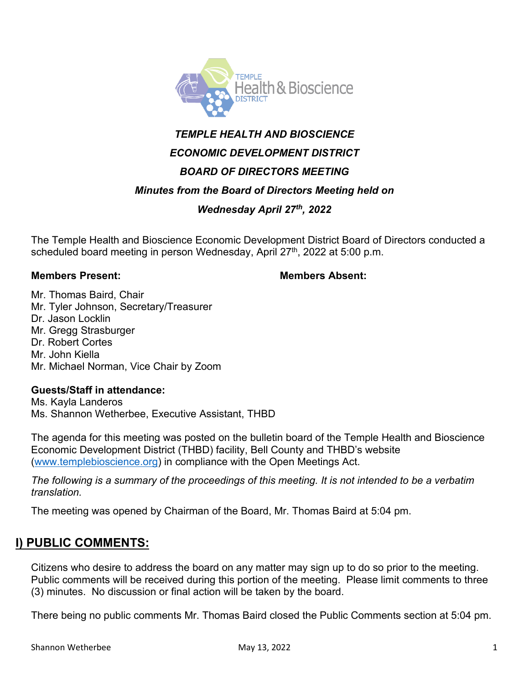

# *TEMPLE HEALTH AND BIOSCIENCE ECONOMIC DEVELOPMENT DISTRICT BOARD OF DIRECTORS MEETING*

### *Minutes from the Board of Directors Meeting held on*

## *Wednesday April 27th, 2022*

The Temple Health and Bioscience Economic Development District Board of Directors conducted a scheduled board meeting in person Wednesday, April 27<sup>th</sup>, 2022 at 5:00 p.m.

#### **Members Present: Members Absent:**

Mr. Thomas Baird, Chair Mr. Tyler Johnson, Secretary/Treasurer Dr. Jason Locklin Mr. Gregg Strasburger Dr. Robert Cortes Mr. John Kiella Mr. Michael Norman, Vice Chair by Zoom

#### **Guests/Staff in attendance:**

Ms. Kayla Landeros Ms. Shannon Wetherbee, Executive Assistant, THBD

The agenda for this meeting was posted on the bulletin board of the Temple Health and Bioscience Economic Development District (THBD) facility, Bell County and THBD's website [\(www.templebioscience.org\)](http://www.templebioscience.org/) in compliance with the Open Meetings Act.

*The following is a summary of the proceedings of this meeting. It is not intended to be a verbatim translation.* 

The meeting was opened by Chairman of the Board, Mr. Thomas Baird at 5:04 pm.

# **I) PUBLIC COMMENTS:**

Citizens who desire to address the board on any matter may sign up to do so prior to the meeting. Public comments will be received during this portion of the meeting. Please limit comments to three (3) minutes. No discussion or final action will be taken by the board.

There being no public comments Mr. Thomas Baird closed the Public Comments section at 5:04 pm.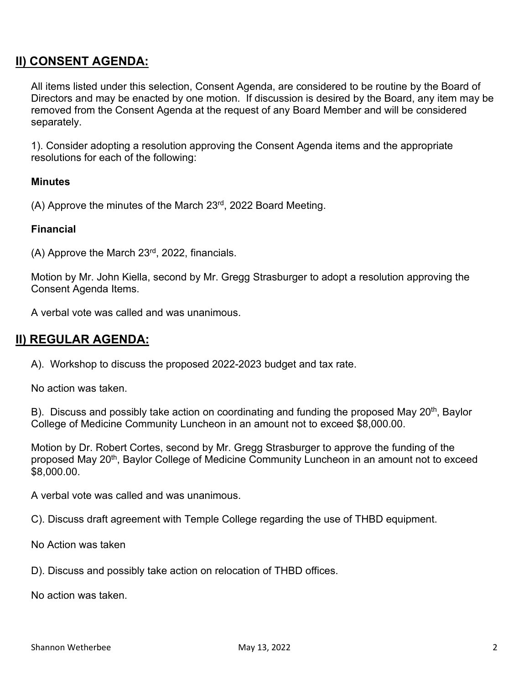# **II) CONSENT AGENDA:**

All items listed under this selection, Consent Agenda, are considered to be routine by the Board of Directors and may be enacted by one motion. If discussion is desired by the Board, any item may be removed from the Consent Agenda at the request of any Board Member and will be considered separately.

 1). Consider adopting a resolution approving the Consent Agenda items and the appropriate resolutions for each of the following:

#### **Minutes**

(A) Approve the minutes of the March 23rd, 2022 Board Meeting.

#### **Financial**

(A) Approve the March 23rd, 2022, financials.

Motion by Mr. John Kiella, second by Mr. Gregg Strasburger to adopt a resolution approving the Consent Agenda Items.

A verbal vote was called and was unanimous.

### **II) REGULAR AGENDA:**

A). Workshop to discuss the proposed 2022-2023 budget and tax rate.

No action was taken.

B). Discuss and possibly take action on coordinating and funding the proposed May 20<sup>th</sup>, Baylor College of Medicine Community Luncheon in an amount not to exceed \$8,000.00.

Motion by Dr. Robert Cortes, second by Mr. Gregg Strasburger to approve the funding of the proposed May 20<sup>th</sup>, Baylor College of Medicine Community Luncheon in an amount not to exceed \$8,000.00.

A verbal vote was called and was unanimous.

C). Discuss draft agreement with Temple College regarding the use of THBD equipment.

No Action was taken

D). Discuss and possibly take action on relocation of THBD offices.

No action was taken.